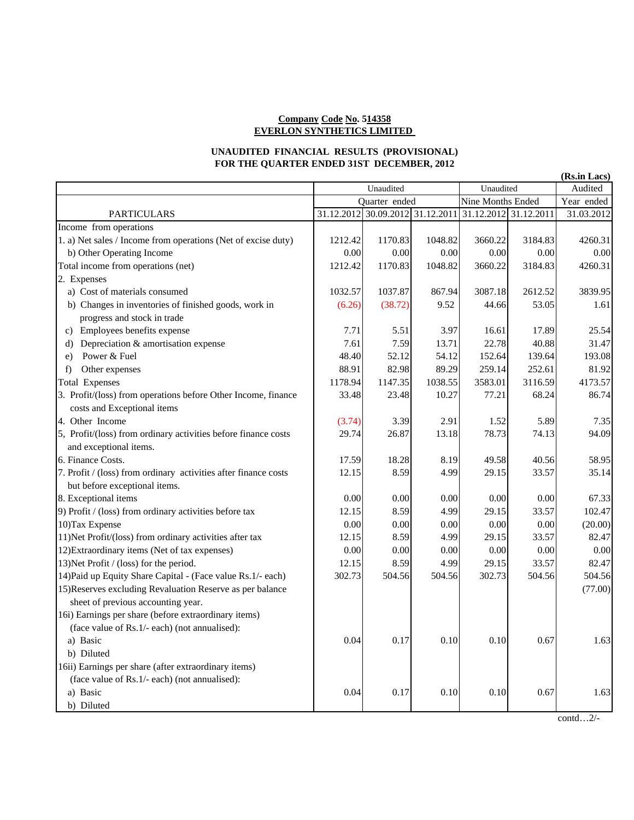## **EVERLON SYNTHETICS LIMITED Company Code No. 514358**

## **UNAUDITED FINANCIAL RESULTS (PROVISIONAL) FOR THE QUARTER ENDED 31ST DECEMBER, 2012**

|                                                                                          |         |               |         |                                                        |         | (Rs.in Lacs) |
|------------------------------------------------------------------------------------------|---------|---------------|---------|--------------------------------------------------------|---------|--------------|
|                                                                                          |         | Unaudited     |         | Unaudited                                              |         | Audited      |
|                                                                                          |         | Quarter ended |         | Nine Months Ended                                      |         | Year ended   |
| <b>PARTICULARS</b>                                                                       |         |               |         | 31.12.2012 30.09.2012 31.12.2011 31.12.2012 31.12.2011 |         | 31.03.2012   |
| Income from operations                                                                   |         |               |         |                                                        |         |              |
| 1. a) Net sales / Income from operations (Net of excise duty)                            | 1212.42 | 1170.83       | 1048.82 | 3660.22                                                | 3184.83 | 4260.31      |
| b) Other Operating Income                                                                | 0.00    | 0.00          | 0.00    | 0.00                                                   | 0.00    | 0.00         |
| Total income from operations (net)                                                       | 1212.42 | 1170.83       | 1048.82 | 3660.22                                                | 3184.83 | 4260.31      |
| 2. Expenses                                                                              |         |               |         |                                                        |         |              |
| a) Cost of materials consumed                                                            | 1032.57 | 1037.87       | 867.94  | 3087.18                                                | 2612.52 | 3839.95      |
| b) Changes in inventories of finished goods, work in                                     | (6.26)  | (38.72)       | 9.52    | 44.66                                                  | 53.05   | 1.61         |
| progress and stock in trade                                                              |         |               |         |                                                        |         |              |
| Employees benefits expense<br>C)                                                         | 7.71    | 5.51          | 3.97    | 16.61                                                  | 17.89   | 25.54        |
| Depreciation & amortisation expense<br>d)                                                | 7.61    | 7.59          | 13.71   | 22.78                                                  | 40.88   | 31.47        |
| Power & Fuel<br>e)                                                                       | 48.40   | 52.12         | 54.12   | 152.64                                                 | 139.64  | 193.08       |
| Other expenses<br>f)                                                                     | 88.91   | 82.98         | 89.29   | 259.14                                                 | 252.61  | 81.92        |
| <b>Total Expenses</b>                                                                    | 1178.94 | 1147.35       | 1038.55 | 3583.01                                                | 3116.59 | 4173.57      |
| 3. Profit/(loss) from operations before Other Income, finance                            | 33.48   | 23.48         | 10.27   | 77.21                                                  | 68.24   | 86.74        |
| costs and Exceptional items                                                              |         |               |         |                                                        |         |              |
| 4. Other Income                                                                          | (3.74)  | 3.39          | 2.91    | 1.52                                                   | 5.89    | 7.35         |
| 5, Profit/(loss) from ordinary activities before finance costs<br>and exceptional items. | 29.74   | 26.87         | 13.18   | 78.73                                                  | 74.13   | 94.09        |
| 6. Finance Costs.                                                                        | 17.59   | 18.28         | 8.19    | 49.58                                                  | 40.56   | 58.95        |
| 7. Profit / (loss) from ordinary activities after finance costs                          | 12.15   | 8.59          | 4.99    | 29.15                                                  | 33.57   | 35.14        |
| but before exceptional items.                                                            |         |               |         |                                                        |         |              |
| 8. Exceptional items                                                                     | 0.00    | 0.00          | 0.00    | 0.00                                                   | 0.00    | 67.33        |
| 9) Profit / (loss) from ordinary activities before tax                                   | 12.15   | 8.59          | 4.99    | 29.15                                                  | 33.57   | 102.47       |
| 10) Tax Expense                                                                          | 0.00    | 0.00          | 0.00    | 0.00                                                   | 0.00    | (20.00)      |
| 11) Net Profit/(loss) from ordinary activities after tax                                 | 12.15   | 8.59          | 4.99    | 29.15                                                  | 33.57   | 82.47        |
| 12) Extraordinary items (Net of tax expenses)                                            | 0.00    | 0.00          | 0.00    | 0.00                                                   | 0.00    | 0.00         |
| 13) Net Profit / (loss) for the period.                                                  | 12.15   | 8.59          | 4.99    | 29.15                                                  | 33.57   | 82.47        |
| 14) Paid up Equity Share Capital - (Face value Rs.1/- each)                              | 302.73  | 504.56        | 504.56  | 302.73                                                 | 504.56  | 504.56       |
| 15) Reserves excluding Revaluation Reserve as per balance                                |         |               |         |                                                        |         | (77.00)      |
| sheet of previous accounting year.                                                       |         |               |         |                                                        |         |              |
| 16i) Earnings per share (before extraordinary items)                                     |         |               |         |                                                        |         |              |
| (face value of Rs.1/- each) (not annualised):                                            |         |               |         |                                                        |         |              |
| a) Basic                                                                                 | 0.04    | 0.17          | 0.10    | 0.10                                                   | 0.67    | 1.63         |
| b) Diluted                                                                               |         |               |         |                                                        |         |              |
| 16ii) Earnings per share (after extraordinary items)                                     |         |               |         |                                                        |         |              |
| (face value of Rs.1/- each) (not annualised):                                            |         |               |         |                                                        |         |              |
| a) Basic                                                                                 | 0.04    | 0.17          | 0.10    | 0.10                                                   | 0.67    | 1.63         |
| b) Diluted                                                                               |         |               |         |                                                        |         |              |

contd…2/-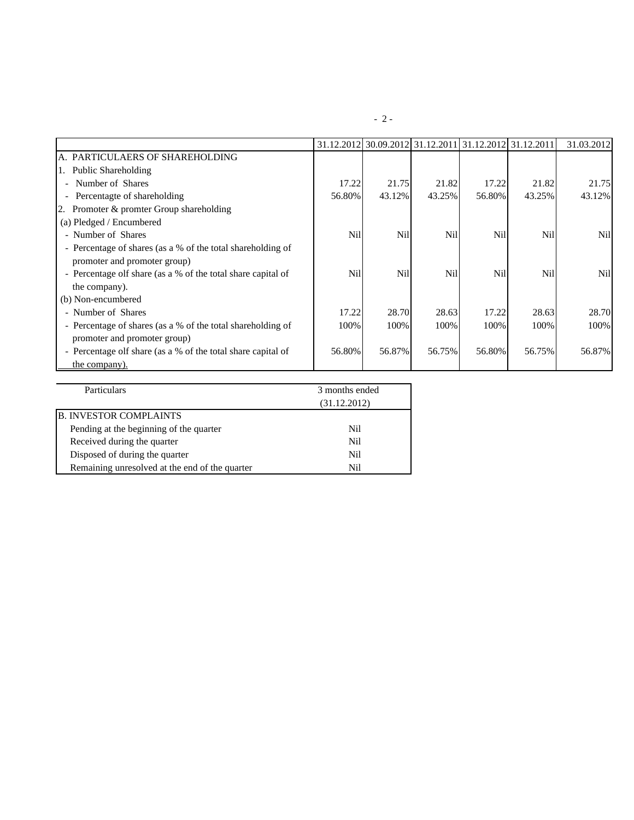|                                                              |                |        | 31.12.2012 30.09.2012 31.12.2011 31.12.2012 31.12.2011 |        |        | 31.03.2012 |
|--------------------------------------------------------------|----------------|--------|--------------------------------------------------------|--------|--------|------------|
| A. PARTICULAERS OF SHAREHOLDING                              |                |        |                                                        |        |        |            |
| 1. Public Shareholding                                       |                |        |                                                        |        |        |            |
| Number of Shares                                             | 17.22          | 21.75  | 21.82                                                  | 17.22  | 21.82  | 21.75      |
| Percentagte of shareholding<br>$\overline{\phantom{a}}$      | 56.80%         | 43.12% | 43.25%                                                 | 56.80% | 43.25% | 43.12%     |
| Promoter & promter Group shareholding<br>2.                  |                |        |                                                        |        |        |            |
| (a) Pledged / Encumbered                                     |                |        |                                                        |        |        |            |
| - Number of Shares                                           | Nil            | Nil    | N <sub>il</sub>                                        | Nil    | Nil    | Nil        |
| - Percentage of shares (as a % of the total shareholding of  |                |        |                                                        |        |        |            |
| promoter and promoter group)                                 |                |        |                                                        |        |        |            |
| - Percentage olf share (as a % of the total share capital of | Nil            | Nil    | Nil                                                    | Nil    | Nil    | Nil        |
| the company).                                                |                |        |                                                        |        |        |            |
| (b) Non-encumbered                                           |                |        |                                                        |        |        |            |
| - Number of Shares                                           | 17.22          | 28.70  | 28.63                                                  | 17.22  | 28.63  | 28.70      |
| - Percentage of shares (as a % of the total shareholding of  | 100%           | 100%   | 100%                                                   | 100%   | 100%   | 100%       |
| promoter and promoter group)                                 |                |        |                                                        |        |        |            |
| - Percentage olf share (as a % of the total share capital of | 56.80%         | 56.87% | 56.75%                                                 | 56.80% | 56.75% | 56.87%     |
| the company).                                                |                |        |                                                        |        |        |            |
|                                                              |                |        |                                                        |        |        |            |
| Particulars                                                  | 3 months ended |        |                                                        |        |        |            |
|                                                              | (31.12.2012)   |        |                                                        |        |        |            |

| Particulars                                    | 3 months ended |  |  |
|------------------------------------------------|----------------|--|--|
|                                                | (31.12.2012)   |  |  |
| B. INVESTOR COMPLAINTS                         |                |  |  |
| Pending at the beginning of the quarter        | Nil.           |  |  |
| Received during the quarter                    | Ni1            |  |  |
| Disposed of during the quarter                 | Nil            |  |  |
| Remaining unresolved at the end of the quarter | Nil            |  |  |

- 2 -